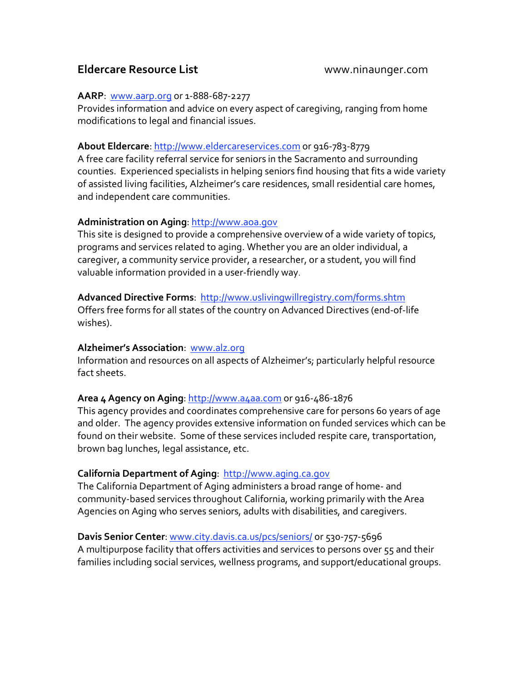# **Eldercare Resource List**  www.ninaunger.com

## **AARP**:

www.aarp.org or
1‐888‐687‐2277

Provides information and advice on every aspect of caregiving, ranging from home modifications
to
legal
and
financial
issues.

# **About Eldercare**: http://www.eldercareservices.com
or
916‐783‐8779

A free care facility referral service for seniors in the Sacramento and surrounding counties.

Experienced
specialists
in
helping
seniors
find
housing
that
fits
a
wide
variety of assisted living facilities, Alzheimer's care residences, small residential care homes, and
independent
care
communities.

# **Administration on Aging**: http://www.aoa.gov

This site is designed to provide a comprehensive overview of a wide variety of topics, programs
and
services
related
to
aging.
Whether you
are
an
older
individual,
a caregiver, a community service provider, a researcher, or a student, you will find valuable
information
provided
in
a
user‐friendly way.

# **Advanced Directive Forms**:

http://www.uslivingwillregistry.com/forms.shtm

Offers free forms for all states of the country on Advanced Directives (end-of-life wishes).

# **Alzheimer's Association**:

www.alz.org

Information and resources on all aspects of Alzheimer's; particularly helpful resource fact
sheets.

# **Area 4 Agency on Aging**: http://www.a4aa.com
or
916‐486‐1876

This agency provides and coordinates comprehensive care for persons 60 years of age and older. The agency provides extensive information on funded services which can be found on their website. Some of these services included respite care, transportation, brown
bag
lunches,
legal
assistance,
etc.

# **California Department of Aging**:

http://www.aging.ca.gov

The California Department of Aging administers a broad range of home- and community‐based
services
throughout
California,
working primarily with
the Area Agencies on Aging who serves seniors, adults with disabilities, and caregivers.

# **Davis Senior Center**: www.city.davis.ca.us/pcs/seniors/
or
530‐757‐5696

A multipurpose facility that offers activities and services to persons over 55 and their families including social services, wellness programs, and support/educational groups.